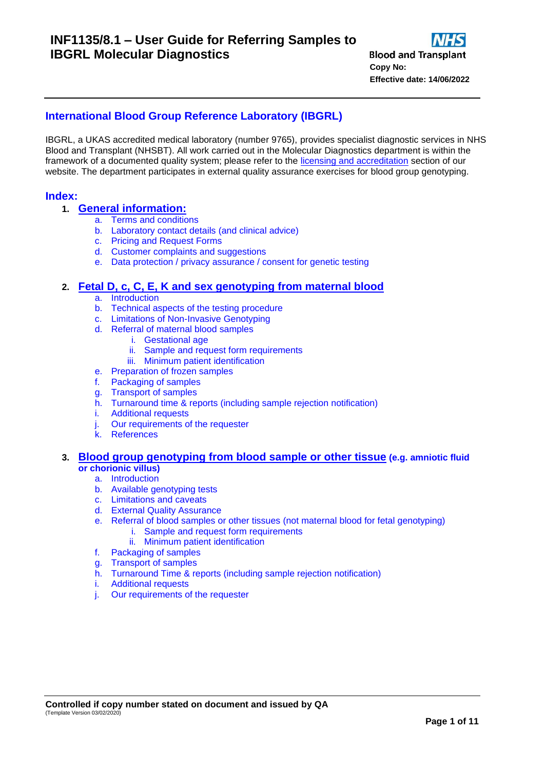

# **International Blood Group Reference Laboratory (IBGRL)**

IBGRL, a UKAS accredited medical laboratory (number 9765), provides specialist diagnostic services in NHS Blood and Transplant (NHSBT). All work carried out in the Molecular Diagnostics department is within the framework of a documented quality system; please refer to the [licensing and accreditation](https://ibgrl.blood.co.uk/services/licensing-and-accreditation/) section of our website. The department participates in external quality assurance exercises for blood group genotyping.

### **Index:**

## **1. [General information:](#page-1-0)**

- a. [Terms and conditions](#page-1-1)
- b. [Laboratory contact details](#page-1-2) (and clinical advice)
- c. [Pricing and Request Forms](#page-1-3)
- d. [Customer complaints and suggestions](#page-1-4)
- e. [Data protection / privacy assurance](#page-1-5) / consent for genetic testing

## **2. Fetal D, c, C, E, K [and sex genotyping from maternal blood](#page-2-0)**

- a. [Introduction](#page-2-1)
- b. [Technical aspects of the testing procedure](#page-2-2)
- c. [Limitations of Non-Invasive Genotyping](#page-2-3)
- d. [Referral of maternal blood samples](#page-3-0)
	- i. [Gestational age](#page-3-1)
	- ii. [Sample and request form requirements](#page-3-2)
	- iii. [Minimum patient identification](#page-4-0)
- e. [Preparation of frozen samples](#page-4-1)
- f. [Packaging of samples](#page-4-2)
- g. [Transport of samples](#page-5-0)
- h. [Turnaround time & reports \(including sample rejection notification\)](#page-5-1)
- i. [Additional requests](#page-5-2)
- j. [Our requirements of the requester](#page-5-3)
- k. [References](#page-6-0)

### **3. [Blood group genotyping from blood sample or other tissue](#page-7-0) (e.g. amniotic fluid or chorionic villus)**

- a. [Introduction](#page-7-1)
- b. [Available genotyping tests](#page-7-2)
- c. [Limitations and caveats](#page-7-3)
- d. External Quality Assurance
- e. [Referral of blood samples or other tissues](#page-8-0) (not maternal blood for fetal genotyping)
	- i. [Sample and request form requirements](#page-8-0)
	- ii. [Minimum patient identification](#page-9-0)
- f. [Packaging of samples](#page-9-1)
- g. [Transport of samples](#page-9-2)
- h. [Turnaround Time & reports](#page-10-0) (including sample rejection notification)
- i. [Additional requests](#page-10-1)
- j. [Our requirements of the requester](#page-10-2)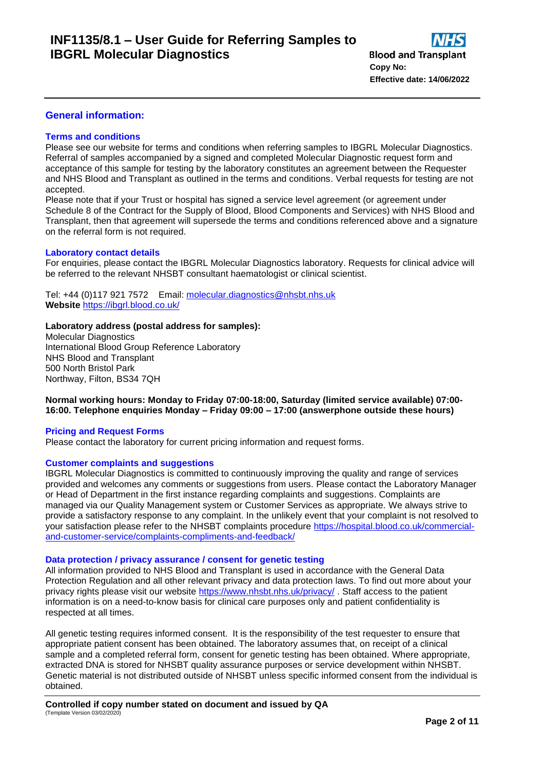## <span id="page-1-0"></span>**General information:**

### <span id="page-1-1"></span>**Terms and conditions**

Please see our website for terms and conditions when referring samples to IBGRL Molecular Diagnostics. Referral of samples accompanied by a signed and completed Molecular Diagnostic request form and acceptance of this sample for testing by the laboratory constitutes an agreement between the Requester and NHS Blood and Transplant as outlined in the terms and conditions. Verbal requests for testing are not accepted.

Please note that if your Trust or hospital has signed a service level agreement (or agreement under Schedule 8 of the Contract for the Supply of Blood, Blood Components and Services) with NHS Blood and Transplant, then that agreement will supersede the terms and conditions referenced above and a signature on the referral form is not required.

### <span id="page-1-2"></span>**Laboratory contact details**

For enquiries, please contact the IBGRL Molecular Diagnostics laboratory. Requests for clinical advice will be referred to the relevant NHSBT consultant haematologist or clinical scientist.

Tel: +44 (0)117 921 7572 Email: [molecular.diagnostics@nhsbt.nhs.uk](mailto:molecular.diagnostics@nhsbt.nhs.uk) **Website** <https://ibgrl.blood.co.uk/>

### **Laboratory address (postal address for samples):**

Molecular Diagnostics International Blood Group Reference Laboratory NHS Blood and Transplant 500 North Bristol Park Northway, Filton, BS34 7QH

### **Normal working hours: Monday to Friday 07:00-18:00, Saturday (limited service available) 07:00- 16:00. Telephone enquiries Monday – Friday 09:00 – 17:00 (answerphone outside these hours)**

### <span id="page-1-3"></span>**Pricing and Request Forms**

Please contact the laboratory for current pricing information and request forms.

### <span id="page-1-4"></span>**Customer complaints and suggestions**

IBGRL Molecular Diagnostics is committed to continuously improving the quality and range of services provided and welcomes any comments or suggestions from users. Please contact the Laboratory Manager or Head of Department in the first instance regarding complaints and suggestions. Complaints are managed via our Quality Management system or Customer Services as appropriate. We always strive to provide a satisfactory response to any complaint. In the unlikely event that your complaint is not resolved to your satisfaction please refer to the NHSBT complaints procedure [https://hospital.blood.co.uk/commercial](https://hospital.blood.co.uk/commercial-and-customer-service/complaints-compliments-and-feedback/)[and-customer-service/complaints-compliments-and-feedback/](https://hospital.blood.co.uk/commercial-and-customer-service/complaints-compliments-and-feedback/)

#### <span id="page-1-5"></span>**Data protection / privacy assurance / consent for genetic testing**

All information provided to NHS Blood and Transplant is used in accordance with the General Data Protection Regulation and all other relevant privacy and data protection laws. To find out more about your privacy rights please visit our website<https://www.nhsbt.nhs.uk/privacy/>. Staff access to the patient information is on a need-to-know basis for clinical care purposes only and patient confidentiality is respected at all times.

All genetic testing requires informed consent. It is the responsibility of the test requester to ensure that appropriate patient consent has been obtained. The laboratory assumes that, on receipt of a clinical sample and a completed referral form, consent for genetic testing has been obtained. Where appropriate, extracted DNA is stored for NHSBT quality assurance purposes or service development within NHSBT. Genetic material is not distributed outside of NHSBT unless specific informed consent from the individual is obtained.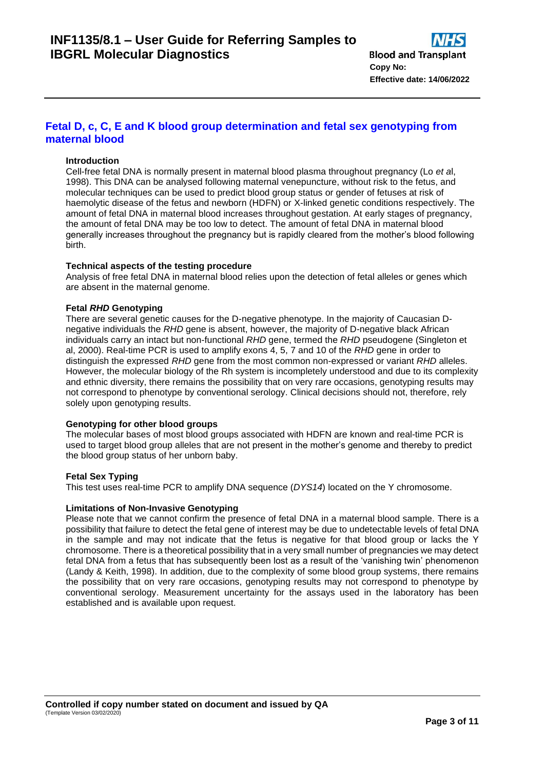## <span id="page-2-0"></span>**Fetal D, c, C, E and K blood group determination and fetal sex genotyping from maternal blood**

### <span id="page-2-1"></span>**Introduction**

Cell-free fetal DNA is normally present in maternal blood plasma throughout pregnancy (Lo *et a*l, 1998). This DNA can be analysed following maternal venepuncture, without risk to the fetus, and molecular techniques can be used to predict blood group status or gender of fetuses at risk of haemolytic disease of the fetus and newborn (HDFN) or X-linked genetic conditions respectively. The amount of fetal DNA in maternal blood increases throughout gestation. At early stages of pregnancy, the amount of fetal DNA may be too low to detect. The amount of fetal DNA in maternal blood generally increases throughout the pregnancy but is rapidly cleared from the mother's blood following birth.

### <span id="page-2-2"></span>**Technical aspects of the testing procedure**

Analysis of free fetal DNA in maternal blood relies upon the detection of fetal alleles or genes which are absent in the maternal genome.

### **Fetal** *RHD* **Genotyping**

There are several genetic causes for the D-negative phenotype. In the majority of Caucasian Dnegative individuals the *RHD* gene is absent, however, the majority of D-negative black African individuals carry an intact but non-functional *RHD* gene, termed the *RHD* pseudogene (Singleton et al, 2000). Real-time PCR is used to amplify exons 4, 5, 7 and 10 of the *RHD* gene in order to distinguish the expressed *RHD* gene from the most common non-expressed or variant *RHD* alleles. However, the molecular biology of the Rh system is incompletely understood and due to its complexity and ethnic diversity, there remains the possibility that on very rare occasions, genotyping results may not correspond to phenotype by conventional serology. Clinical decisions should not, therefore, rely solely upon genotyping results.

### **Genotyping for other blood groups**

The molecular bases of most blood groups associated with HDFN are known and real-time PCR is used to target blood group alleles that are not present in the mother's genome and thereby to predict the blood group status of her unborn baby.

### **Fetal Sex Typing**

This test uses real-time PCR to amplify DNA sequence (*DYS14*) located on the Y chromosome.

### <span id="page-2-3"></span>**Limitations of Non-Invasive Genotyping**

Please note that we cannot confirm the presence of fetal DNA in a maternal blood sample. There is a possibility that failure to detect the fetal gene of interest may be due to undetectable levels of fetal DNA in the sample and may not indicate that the fetus is negative for that blood group or lacks the Y chromosome. There is a theoretical possibility that in a very small number of pregnancies we may detect fetal DNA from a fetus that has subsequently been lost as a result of the 'vanishing twin' phenomenon (Landy & Keith, 1998). In addition, due to the complexity of some blood group systems, there remains the possibility that on very rare occasions, genotyping results may not correspond to phenotype by conventional serology. Measurement uncertainty for the assays used in the laboratory has been established and is available upon request.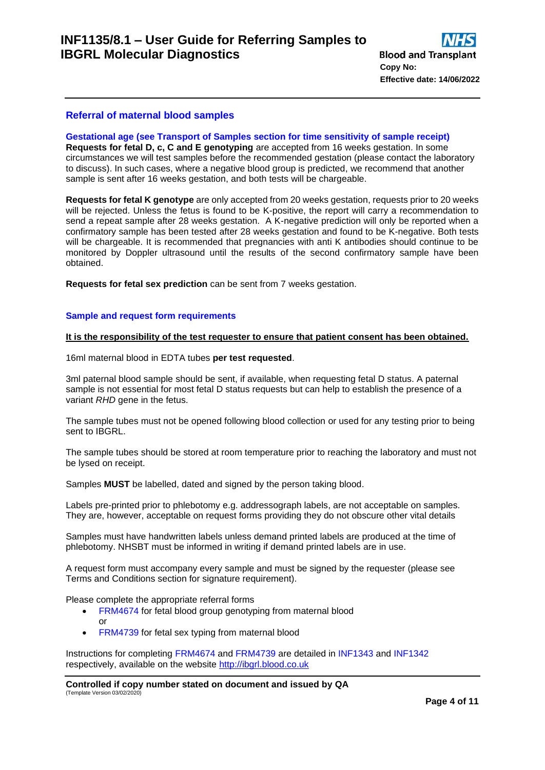## <span id="page-3-0"></span>**Referral of maternal blood samples**

### <span id="page-3-1"></span>**Gestational age (see Transport of Samples section for time sensitivity of sample receipt)**

**Requests for fetal D, c, C and E genotyping** are accepted from 16 weeks gestation. In some circumstances we will test samples before the recommended gestation (please contact the laboratory to discuss). In such cases, where a negative blood group is predicted, we recommend that another sample is sent after 16 weeks gestation, and both tests will be chargeable.

**Requests for fetal K genotype** are only accepted from 20 weeks gestation, requests prior to 20 weeks will be rejected. Unless the fetus is found to be K-positive, the report will carry a recommendation to send a repeat sample after 28 weeks gestation. A K-negative prediction will only be reported when a confirmatory sample has been tested after 28 weeks gestation and found to be K-negative. Both tests will be chargeable. It is recommended that pregnancies with anti K antibodies should continue to be monitored by Doppler ultrasound until the results of the second confirmatory sample have been obtained.

**Requests for fetal sex prediction** can be sent from 7 weeks gestation.

### <span id="page-3-2"></span>**Sample and request form requirements**

#### **It is the responsibility of the test requester to ensure that patient consent has been obtained.**

16ml maternal blood in EDTA tubes **per test requested**.

3ml paternal blood sample should be sent, if available, when requesting fetal D status. A paternal sample is not essential for most fetal D status requests but can help to establish the presence of a variant *RHD* gene in the fetus.

The sample tubes must not be opened following blood collection or used for any testing prior to being sent to IBGRL.

The sample tubes should be stored at room temperature prior to reaching the laboratory and must not be lysed on receipt.

Samples **MUST** be labelled, dated and signed by the person taking blood.

Labels pre-printed prior to phlebotomy e.g. addressograph labels, are not acceptable on samples. They are, however, acceptable on request forms providing they do not obscure other vital details

Samples must have handwritten labels unless demand printed labels are produced at the time of phlebotomy. NHSBT must be informed in writing if demand printed labels are in use.

A request form must accompany every sample and must be signed by the requester (please see Terms and Conditions section for signature requirement).

Please complete the appropriate referral forms

- FRM4674 for fetal blood group genotyping from maternal blood or
- FRM4739 for fetal sex typing from maternal blood

Instructions for completing FRM4674 and FRM4739 are detailed in INF1343 and INF1342 respectively, available on the website [http://ibgrl.blood.co.uk](http://ibgrl.blood.co.uk/)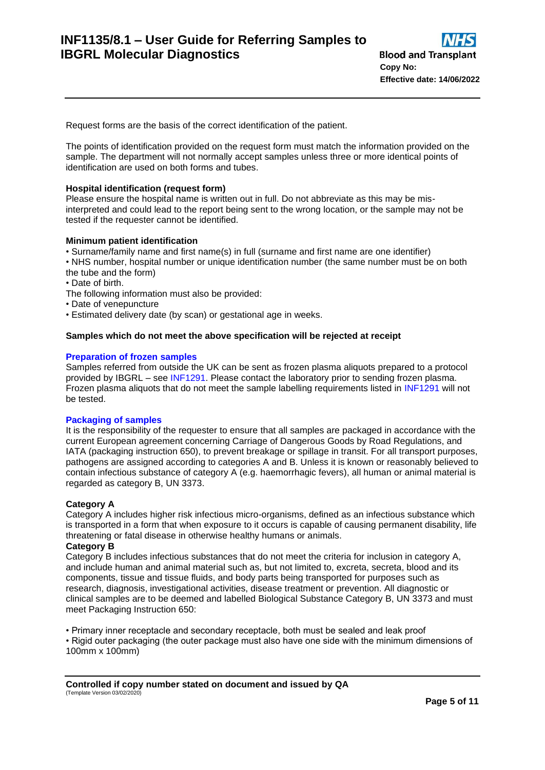Request forms are the basis of the correct identification of the patient.

The points of identification provided on the request form must match the information provided on the sample. The department will not normally accept samples unless three or more identical points of identification are used on both forms and tubes.

### **Hospital identification (request form)**

Please ensure the hospital name is written out in full. Do not abbreviate as this may be misinterpreted and could lead to the report being sent to the wrong location, or the sample may not be tested if the requester cannot be identified.

### <span id="page-4-0"></span>**Minimum patient identification**

• Surname/family name and first name(s) in full (surname and first name are one identifier)

• NHS number, hospital number or unique identification number (the same number must be on both the tube and the form)

• Date of birth.

The following information must also be provided:

- Date of venepuncture
- Estimated delivery date (by scan) or gestational age in weeks.

### **Samples which do not meet the above specification will be rejected at receipt**

### <span id="page-4-1"></span>**Preparation of frozen samples**

Samples referred from outside the UK can be sent as frozen plasma aliquots prepared to a protocol provided by IBGRL – see INF1291. Please contact the laboratory prior to sending frozen plasma. Frozen plasma aliquots that do not meet the sample labelling requirements listed in INF1291 will not be tested.

### <span id="page-4-2"></span>**Packaging of samples**

It is the responsibility of the requester to ensure that all samples are packaged in accordance with the current European agreement concerning Carriage of Dangerous Goods by Road Regulations, and IATA (packaging instruction 650), to prevent breakage or spillage in transit. For all transport purposes, pathogens are assigned according to categories A and B. Unless it is known or reasonably believed to contain infectious substance of category A (e.g. haemorrhagic fevers), all human or animal material is regarded as category B, UN 3373.

### **Category A**

Category A includes higher risk infectious micro-organisms, defined as an infectious substance which is transported in a form that when exposure to it occurs is capable of causing permanent disability, life threatening or fatal disease in otherwise healthy humans or animals.

### **Category B**

Category B includes infectious substances that do not meet the criteria for inclusion in category A, and include human and animal material such as, but not limited to, excreta, secreta, blood and its components, tissue and tissue fluids, and body parts being transported for purposes such as research, diagnosis, investigational activities, disease treatment or prevention. All diagnostic or clinical samples are to be deemed and labelled Biological Substance Category B, UN 3373 and must meet Packaging Instruction 650:

• Primary inner receptacle and secondary receptacle, both must be sealed and leak proof

• Rigid outer packaging (the outer package must also have one side with the minimum dimensions of 100mm x 100mm)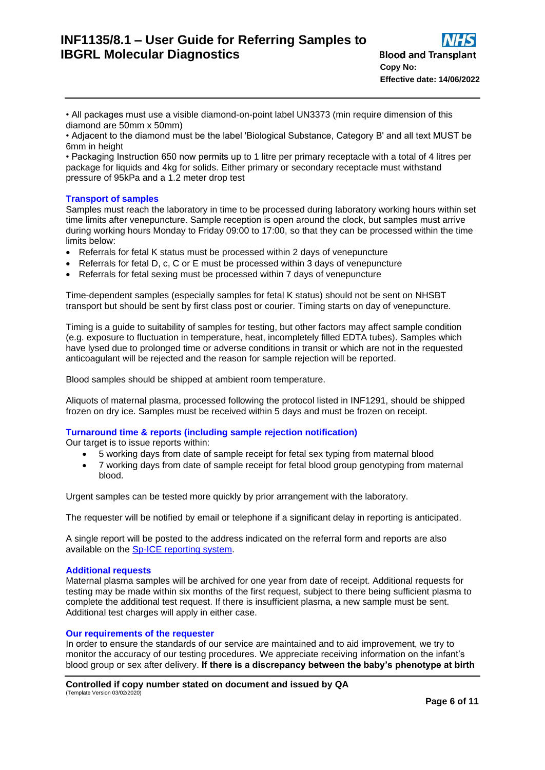• All packages must use a visible diamond-on-point label UN3373 (min require dimension of this diamond are 50mm x 50mm)

• Adjacent to the diamond must be the label 'Biological Substance, Category B' and all text MUST be 6mm in height

• Packaging Instruction 650 now permits up to 1 litre per primary receptacle with a total of 4 litres per package for liquids and 4kg for solids. Either primary or secondary receptacle must withstand pressure of 95kPa and a 1.2 meter drop test

### <span id="page-5-0"></span>**Transport of samples**

Samples must reach the laboratory in time to be processed during laboratory working hours within set time limits after venepuncture. Sample reception is open around the clock, but samples must arrive during working hours Monday to Friday 09:00 to 17:00, so that they can be processed within the time limits below:

- Referrals for fetal K status must be processed within 2 days of venepuncture
- Referrals for fetal D, c, C or E must be processed within 3 days of venepuncture
- Referrals for fetal sexing must be processed within 7 days of venepuncture

Time-dependent samples (especially samples for fetal K status) should not be sent on NHSBT transport but should be sent by first class post or courier. Timing starts on day of venepuncture.

Timing is a guide to suitability of samples for testing, but other factors may affect sample condition (e.g. exposure to fluctuation in temperature, heat, incompletely filled EDTA tubes). Samples which have lysed due to prolonged time or adverse conditions in transit or which are not in the requested anticoagulant will be rejected and the reason for sample rejection will be reported.

Blood samples should be shipped at ambient room temperature.

Aliquots of maternal plasma, processed following the protocol listed in INF1291, should be shipped frozen on dry ice. Samples must be received within 5 days and must be frozen on receipt.

### **Turnaround time & reports (including sample rejection notification)**

Our target is to issue reports within:

- <span id="page-5-1"></span>• 5 working days from date of sample receipt for fetal sex typing from maternal blood
- 7 working days from date of sample receipt for fetal blood group genotyping from maternal blood.

Urgent samples can be tested more quickly by prior arrangement with the laboratory.

The requester will be notified by email or telephone if a significant delay in reporting is anticipated.

A single report will be posted to the address indicated on the referral form and reports are also available on the [Sp-ICE reporting system.](https://hospital.blood.co.uk/diagnostic-services/sp-ice/)

### <span id="page-5-2"></span>**Additional requests**

Maternal plasma samples will be archived for one year from date of receipt. Additional requests for testing may be made within six months of the first request, subject to there being sufficient plasma to complete the additional test request. If there is insufficient plasma, a new sample must be sent. Additional test charges will apply in either case.

### <span id="page-5-3"></span>**Our requirements of the requester**

In order to ensure the standards of our service are maintained and to aid improvement, we try to monitor the accuracy of our testing procedures. We appreciate receiving information on the infant's blood group or sex after delivery. **If there is a discrepancy between the baby's phenotype at birth** 

```
Controlled if copy number stated on document and issued by QA
(Template Version 03/02/2020)
```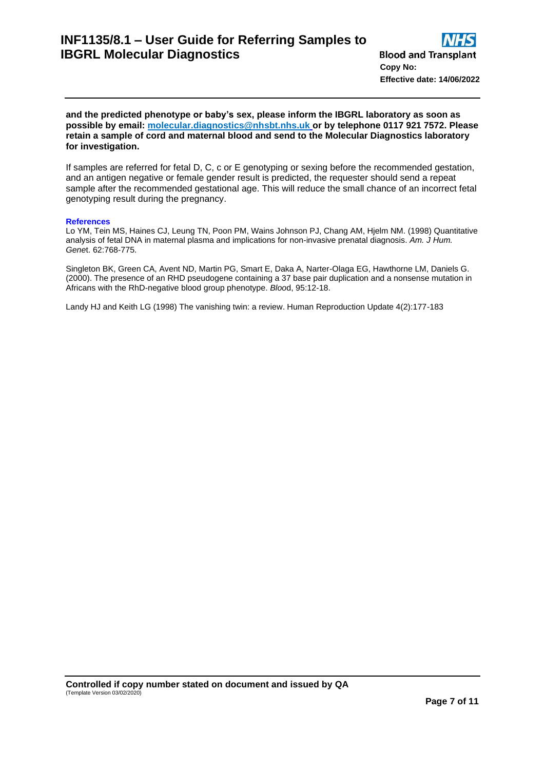### **and the predicted phenotype or baby's sex, please inform the IBGRL laboratory as soon as possible by email: [molecular.diagnostics@nhsbt.nhs.uk](mailto:molecular.diagnostics@nhsbt.nhs.uk) or by telephone 0117 921 7572. Please retain a sample of cord and maternal blood and send to the Molecular Diagnostics laboratory for investigation.**

If samples are referred for fetal D, C, c or E genotyping or sexing before the recommended gestation, and an antigen negative or female gender result is predicted, the requester should send a repeat sample after the recommended gestational age. This will reduce the small chance of an incorrect fetal genotyping result during the pregnancy.

#### <span id="page-6-0"></span>**References**

Lo YM, Tein MS, Haines CJ, Leung TN, Poon PM, Wains Johnson PJ, Chang AM, Hjelm NM. (1998) Quantitative analysis of fetal DNA in maternal plasma and implications for non-invasive prenatal diagnosis. *Am. J Hum. Gene*t. 62:768-775.

Singleton BK, Green CA, Avent ND, Martin PG, Smart E, Daka A, Narter-Olaga EG, Hawthorne LM, Daniels G. (2000). The presence of an RHD pseudogene containing a 37 base pair duplication and a nonsense mutation in Africans with the RhD-negative blood group phenotype. *Bloo*d, 95:12-18.

Landy HJ and Keith LG (1998) The vanishing twin: a review. Human Reproduction Update 4(2):177-183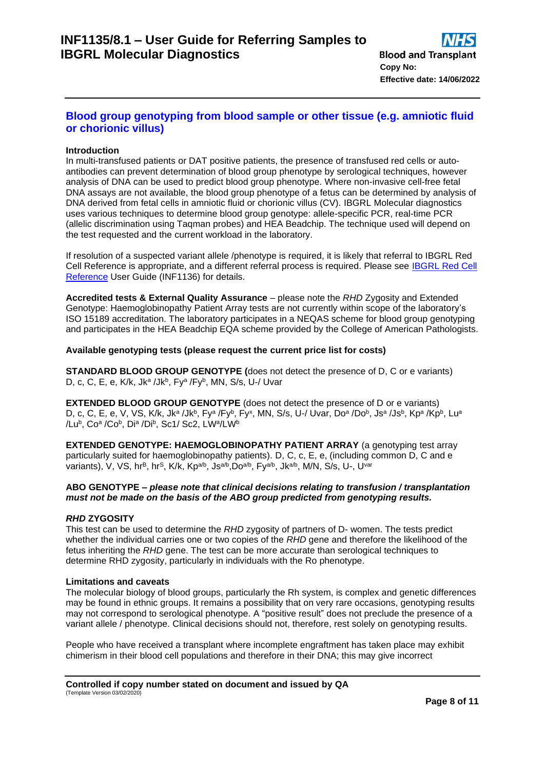## <span id="page-7-0"></span>**Blood group genotyping from blood sample or other tissue (e.g. amniotic fluid or chorionic villus)**

### <span id="page-7-1"></span>**Introduction**

In multi-transfused patients or DAT positive patients, the presence of transfused red cells or autoantibodies can prevent determination of blood group phenotype by serological techniques, however analysis of DNA can be used to predict blood group phenotype. Where non-invasive cell-free fetal DNA assays are not available, the blood group phenotype of a fetus can be determined by analysis of DNA derived from fetal cells in amniotic fluid or chorionic villus (CV). IBGRL Molecular diagnostics uses various techniques to determine blood group genotype: allele-specific PCR, real-time PCR (allelic discrimination using Taqman probes) and HEA Beadchip. The technique used will depend on the test requested and the current workload in the laboratory.

If resolution of a suspected variant allele /phenotype is required, it is likely that referral to IBGRL Red Cell Reference is appropriate, and a different referral process is required. Please see [IBGRL Red Cell](https://ibgrl.blood.co.uk/services/red-cell-reference/)  [Reference](https://ibgrl.blood.co.uk/services/red-cell-reference/) User Guide (INF1136) for details.

**Accredited tests & External Quality Assurance** – please note the *RHD* Zygosity and Extended Genotype: Haemoglobinopathy Patient Array tests are not currently within scope of the laboratory's ISO 15189 accreditation. The laboratory participates in a NEQAS scheme for blood group genotyping and participates in the HEA Beadchip EQA scheme provided by the College of American Pathologists.

### <span id="page-7-2"></span>**Available genotyping tests (please request the current price list for costs)**

**STANDARD BLOOD GROUP GENOTYPE (**does not detect the presence of D, C or e variants) D, c, C, E, e, K/k, Jka /Jkb, Fya /Fyb, MN, S/s, U-/ Uvar

**EXTENDED BLOOD GROUP GENOTYPE** (does not detect the presence of D or e variants) D, c, C, E, e, V, VS, K/k, Jkª /Jkʰ, Fyª /Fyʰ, Fy×, MN, S/s, U-/ Uvar, Doª /Doʰ, Jsª /Jsʰ, Kpª /Kpʰ, Luª /Luʰ, Coª /Coʰ, Diª /Diʰ, Sc1/ Sc2, LWª/LWʰ

**EXTENDED GENOTYPE: HAEMOGLOBINOPATHY PATIENT ARRAY** (a genotyping test array particularly suited for haemoglobinopathy patients). D, C, c, E, e, (including common D, C and e variants), V, VS, hr<sup>в</sup>, hr<sup>s</sup>, K/k, Kp<sup>a/b</sup>, Js<sup>a/b</sup>,Do<sup>a/b</sup>, Fy<sup>a/b</sup>, Jk<sup>a/b</sup>, M/N, S/s, U-, U<sup>var</sup>

### **ABO GENOTYPE** *– please note that clinical decisions relating to transfusion / transplantation must not be made on the basis of the ABO group predicted from genotyping results.*

### *RHD* **ZYGOSITY**

This test can be used to determine the *RHD* zygosity of partners of D- women. The tests predict whether the individual carries one or two copies of the *RHD* gene and therefore the likelihood of the fetus inheriting the *RHD* gene. The test can be more accurate than serological techniques to determine RHD zygosity, particularly in individuals with the Ro phenotype.

### <span id="page-7-3"></span>**Limitations and caveats**

The molecular biology of blood groups, particularly the Rh system, is complex and genetic differences may be found in ethnic groups. It remains a possibility that on very rare occasions, genotyping results may not correspond to serological phenotype. A "positive result" does not preclude the presence of a variant allele / phenotype. Clinical decisions should not, therefore, rest solely on genotyping results.

People who have received a transplant where incomplete engraftment has taken place may exhibit chimerism in their blood cell populations and therefore in their DNA; this may give incorrect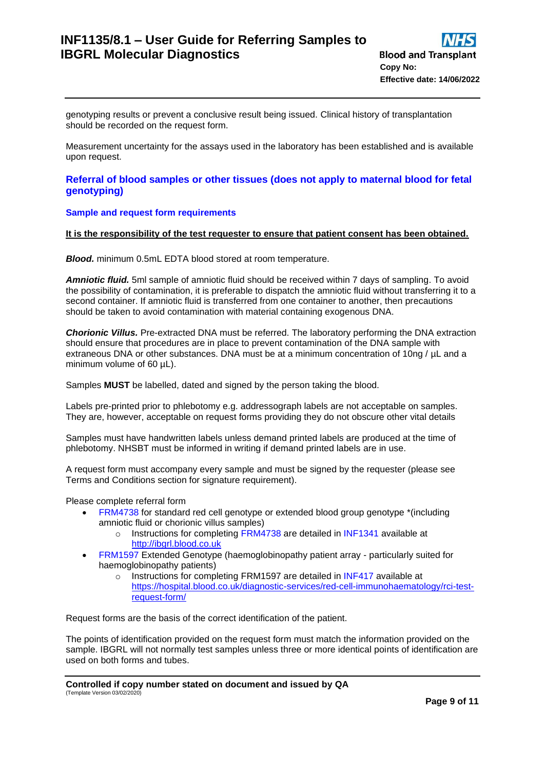genotyping results or prevent a conclusive result being issued. Clinical history of transplantation should be recorded on the request form.

Measurement uncertainty for the assays used in the laboratory has been established and is available upon request.

### **Referral of blood samples or other tissues (does not apply to maternal blood for fetal genotyping)**

### <span id="page-8-0"></span>**Sample and request form requirements**

### **It is the responsibility of the test requester to ensure that patient consent has been obtained.**

*Blood.* minimum 0.5mL EDTA blood stored at room temperature.

*Amniotic fluid.* 5ml sample of amniotic fluid should be received within 7 days of sampling. To avoid the possibility of contamination, it is preferable to dispatch the amniotic fluid without transferring it to a second container. If amniotic fluid is transferred from one container to another, then precautions should be taken to avoid contamination with material containing exogenous DNA.

*Chorionic Villus.* Pre-extracted DNA must be referred. The laboratory performing the DNA extraction should ensure that procedures are in place to prevent contamination of the DNA sample with extraneous DNA or other substances. DNA must be at a minimum concentration of 10ng / µL and a minimum volume of 60 µL).

Samples **MUST** be labelled, dated and signed by the person taking the blood.

Labels pre-printed prior to phlebotomy e.g. addressograph labels are not acceptable on samples. They are, however, acceptable on request forms providing they do not obscure other vital details

Samples must have handwritten labels unless demand printed labels are produced at the time of phlebotomy. NHSBT must be informed in writing if demand printed labels are in use.

A request form must accompany every sample and must be signed by the requester (please see Terms and Conditions section for signature requirement).

Please complete referral form

- FRM4738 for standard red cell genotype or extended blood group genotype \*(including amniotic fluid or chorionic villus samples)
	- o Instructions for completing FRM4738 are detailed in INF1341 available at [http://ibgrl.blood.co.uk](http://ibgrl.blood.co.uk/)
- FRM1597 Extended Genotype (haemoglobinopathy patient array particularly suited for haemoglobinopathy patients)
	- o Instructions for completing FRM1597 are detailed in INF417 available at [https://hospital.blood.co.uk/diagnostic-services/red-cell-immunohaematology/rci-test](https://hospital.blood.co.uk/diagnostic-services/red-cell-immunohaematology/rci-test-request-form/)[request-form/](https://hospital.blood.co.uk/diagnostic-services/red-cell-immunohaematology/rci-test-request-form/)

Request forms are the basis of the correct identification of the patient.

The points of identification provided on the request form must match the information provided on the sample. IBGRL will not normally test samples unless three or more identical points of identification are used on both forms and tubes.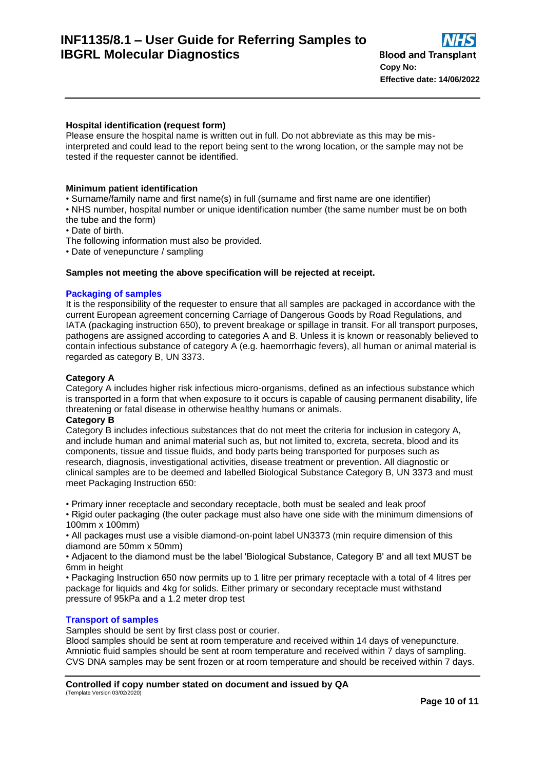### **Hospital identification (request form)**

Please ensure the hospital name is written out in full. Do not abbreviate as this may be misinterpreted and could lead to the report being sent to the wrong location, or the sample may not be tested if the requester cannot be identified.

### <span id="page-9-0"></span>**Minimum patient identification**

• Surname/family name and first name(s) in full (surname and first name are one identifier) • NHS number, hospital number or unique identification number (the same number must be on both

- the tube and the form)
- Date of birth.

The following information must also be provided.

• Date of venepuncture / sampling

### <span id="page-9-1"></span>**Samples not meeting the above specification will be rejected at receipt.**

### **Packaging of samples**

It is the responsibility of the requester to ensure that all samples are packaged in accordance with the current European agreement concerning Carriage of Dangerous Goods by Road Regulations, and IATA (packaging instruction 650), to prevent breakage or spillage in transit. For all transport purposes, pathogens are assigned according to categories A and B. Unless it is known or reasonably believed to contain infectious substance of category A (e.g. haemorrhagic fevers), all human or animal material is regarded as category B, UN 3373.

### **Category A**

Category A includes higher risk infectious micro-organisms, defined as an infectious substance which is transported in a form that when exposure to it occurs is capable of causing permanent disability, life threatening or fatal disease in otherwise healthy humans or animals.

### **Category B**

Category B includes infectious substances that do not meet the criteria for inclusion in category A, and include human and animal material such as, but not limited to, excreta, secreta, blood and its components, tissue and tissue fluids, and body parts being transported for purposes such as research, diagnosis, investigational activities, disease treatment or prevention. All diagnostic or clinical samples are to be deemed and labelled Biological Substance Category B, UN 3373 and must meet Packaging Instruction 650:

• Primary inner receptacle and secondary receptacle, both must be sealed and leak proof

• Rigid outer packaging (the outer package must also have one side with the minimum dimensions of 100mm x 100mm)

• All packages must use a visible diamond-on-point label UN3373 (min require dimension of this diamond are 50mm x 50mm)

• Adjacent to the diamond must be the label 'Biological Substance, Category B' and all text MUST be 6mm in height

• Packaging Instruction 650 now permits up to 1 litre per primary receptacle with a total of 4 litres per package for liquids and 4kg for solids. Either primary or secondary receptacle must withstand pressure of 95kPa and a 1.2 meter drop test

### <span id="page-9-2"></span>**Transport of samples**

Samples should be sent by first class post or courier.

Blood samples should be sent at room temperature and received within 14 days of venepuncture. Amniotic fluid samples should be sent at room temperature and received within 7 days of sampling. CVS DNA samples may be sent frozen or at room temperature and should be received within 7 days.

**Controlled if copy number stated on document and issued by QA** (Template Version 03/02/2020)